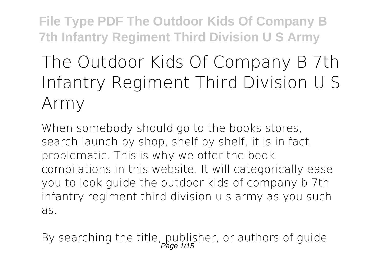# **The Outdoor Kids Of Company B 7th Infantry Regiment Third Division U S Army**

When somebody should go to the books stores, search launch by shop, shelf by shelf, it is in fact problematic. This is why we offer the book compilations in this website. It will categorically ease you to look guide **the outdoor kids of company b 7th infantry regiment third division u s army** as you such as.

By searching the title, publisher, or authors of guide<br> $P_{\text{age 1/15}}$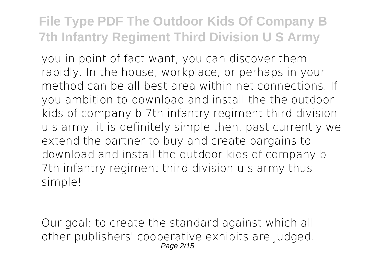you in point of fact want, you can discover them rapidly. In the house, workplace, or perhaps in your method can be all best area within net connections. If you ambition to download and install the the outdoor kids of company b 7th infantry regiment third division u s army, it is definitely simple then, past currently we extend the partner to buy and create bargains to download and install the outdoor kids of company b 7th infantry regiment third division u s army thus simple!

Our goal: to create the standard against which all other publishers' cooperative exhibits are judged. Page 2/15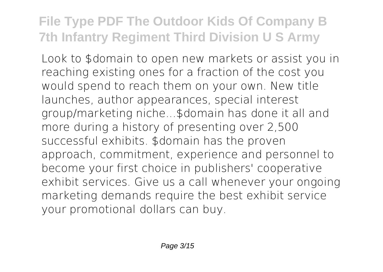Look to \$domain to open new markets or assist you in reaching existing ones for a fraction of the cost you would spend to reach them on your own. New title launches, author appearances, special interest group/marketing niche...\$domain has done it all and more during a history of presenting over 2,500 successful exhibits. \$domain has the proven approach, commitment, experience and personnel to become your first choice in publishers' cooperative exhibit services. Give us a call whenever your ongoing marketing demands require the best exhibit service your promotional dollars can buy.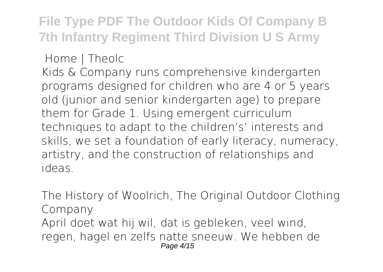**Home | Theolc**

Kids & Company runs comprehensive kindergarten programs designed for children who are 4 or 5 years old (junior and senior kindergarten age) to prepare them for Grade 1. Using emergent curriculum techniques to adapt to the children's' interests and skills, we set a foundation of early literacy, numeracy, artistry, and the construction of relationships and ideas.

**The History of Woolrich, The Original Outdoor Clothing Company** April doet wat hij wil, dat is gebleken, veel wind, regen, hagel en zelfs natte sneeuw. We hebben de Page 4/15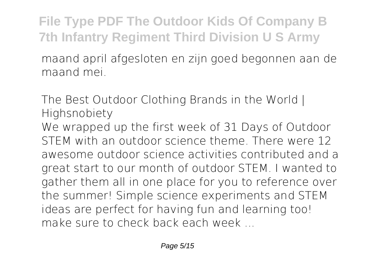maand april afgesloten en zijn goed begonnen aan de maand mei.

**The Best Outdoor Clothing Brands in the World | Highsnobiety**

We wrapped up the first week of 31 Days of Outdoor STEM with an outdoor science theme. There were 12 awesome outdoor science activities contributed and a great start to our month of outdoor STEM. I wanted to gather them all in one place for you to reference over the summer! Simple science experiments and STEM ideas are perfect for having fun and learning too! make sure to check back each week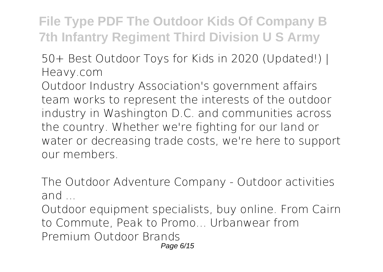**50+ Best Outdoor Toys for Kids in 2020 (Updated!) | Heavy.com**

Outdoor Industry Association's government affairs team works to represent the interests of the outdoor industry in Washington D.C. and communities across the country. Whether we're fighting for our land or water or decreasing trade costs, we're here to support our members.

**The Outdoor Adventure Company - Outdoor activities and ...**

Outdoor equipment specialists, buy online. From Cairn to Commute, Peak to Promo... Urbanwear from Premium Outdoor Brands Page 6/15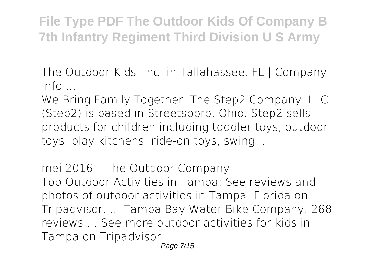**The Outdoor Kids, Inc. in Tallahassee, FL | Company Info ...**

We Bring Family Together. The Step2 Company, LLC. (Step2) is based in Streetsboro, Ohio. Step2 sells products for children including toddler toys, outdoor toys, play kitchens, ride-on toys, swing ...

**mei 2016 – The Outdoor Company** Top Outdoor Activities in Tampa: See reviews and photos of outdoor activities in Tampa, Florida on Tripadvisor. ... Tampa Bay Water Bike Company. 268 reviews ... See more outdoor activities for kids in Tampa on Tripadvisor.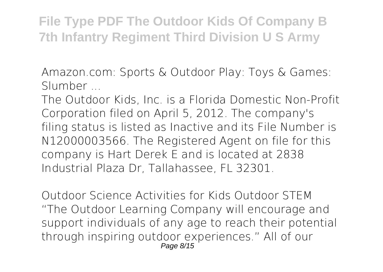**Amazon.com: Sports & Outdoor Play: Toys & Games: Slumber ...**

The Outdoor Kids, Inc. is a Florida Domestic Non-Profit Corporation filed on April 5, 2012. The company's filing status is listed as Inactive and its File Number is N12000003566. The Registered Agent on file for this company is Hart Derek E and is located at 2838 Industrial Plaza Dr, Tallahassee, FL 32301.

**Outdoor Science Activities for Kids Outdoor STEM** "The Outdoor Learning Company will encourage and support individuals of any age to reach their potential through inspiring outdoor experiences." All of our Page 8/15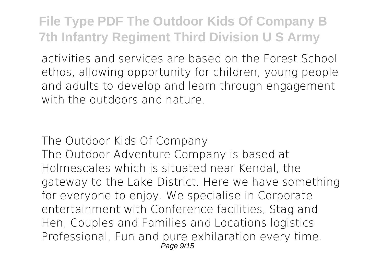activities and services are based on the Forest School ethos, allowing opportunity for children, young people and adults to develop and learn through engagement with the outdoors and nature.

**The Outdoor Kids Of Company** The Outdoor Adventure Company is based at Holmescales which is situated near Kendal, the gateway to the Lake District. Here we have something for everyone to enjoy. We specialise in Corporate entertainment with Conference facilities, Stag and Hen, Couples and Families and Locations logistics Professional, Fun and pure exhilaration every time. Page 9/15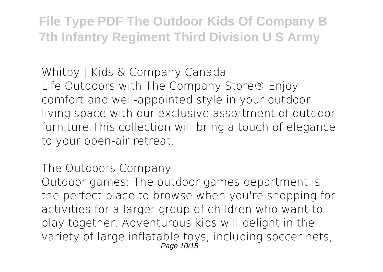**Whitby | Kids & Company Canada** Life Outdoors with The Company Store® Enjoy comfort and well-appointed style in your outdoor living space with our exclusive assortment of outdoor furniture.This collection will bring a touch of elegance to your open-air retreat.

**The Outdoors Company**

Outdoor games: The outdoor games department is the perfect place to browse when you're shopping for activities for a larger group of children who want to play together. Adventurous kids will delight in the variety of large inflatable toys, including soccer nets, Page 10/15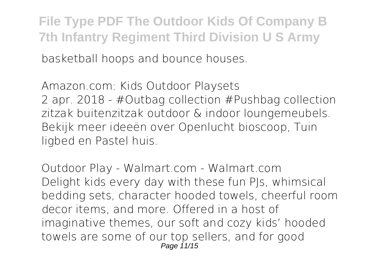basketball hoops and bounce houses.

**Amazon.com: Kids Outdoor Playsets** 2 apr. 2018 - #Outbag collection #Pushbag collection zitzak buitenzitzak outdoor & indoor loungemeubels. Bekijk meer ideeën over Openlucht bioscoop, Tuin ligbed en Pastel huis.

**Outdoor Play - Walmart.com - Walmart.com** Delight kids every day with these fun PJs, whimsical bedding sets, character hooded towels, cheerful room decor items, and more. Offered in a host of imaginative themes, our soft and cozy kids' hooded towels are some of our top sellers, and for good Page 11/15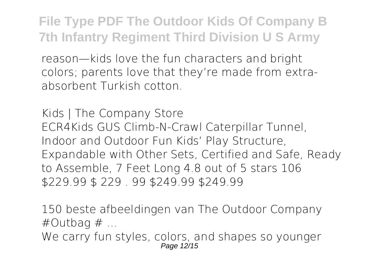reason—kids love the fun characters and bright colors; parents love that they're made from extraabsorbent Turkish cotton.

**Kids | The Company Store** ECR4Kids GUS Climb-N-Crawl Caterpillar Tunnel, Indoor and Outdoor Fun Kids' Play Structure, Expandable with Other Sets, Certified and Safe, Ready to Assemble, 7 Feet Long 4.8 out of 5 stars 106 \$229.99 \$ 229 . 99 \$249.99 \$249.99

**150 beste afbeeldingen van The Outdoor Company #Outbag # ...** We carry fun styles, colors, and shapes so younger Page 12/15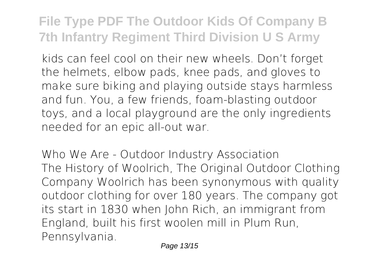kids can feel cool on their new wheels. Don't forget the helmets, elbow pads, knee pads, and gloves to make sure biking and playing outside stays harmless and fun. You, a few friends, foam-blasting outdoor toys, and a local playground are the only ingredients needed for an epic all-out war.

**Who We Are - Outdoor Industry Association** The History of Woolrich, The Original Outdoor Clothing Company Woolrich has been synonymous with quality outdoor clothing for over 180 years. The company got its start in 1830 when John Rich, an immigrant from England, built his first woolen mill in Plum Run, Pennsylvania.